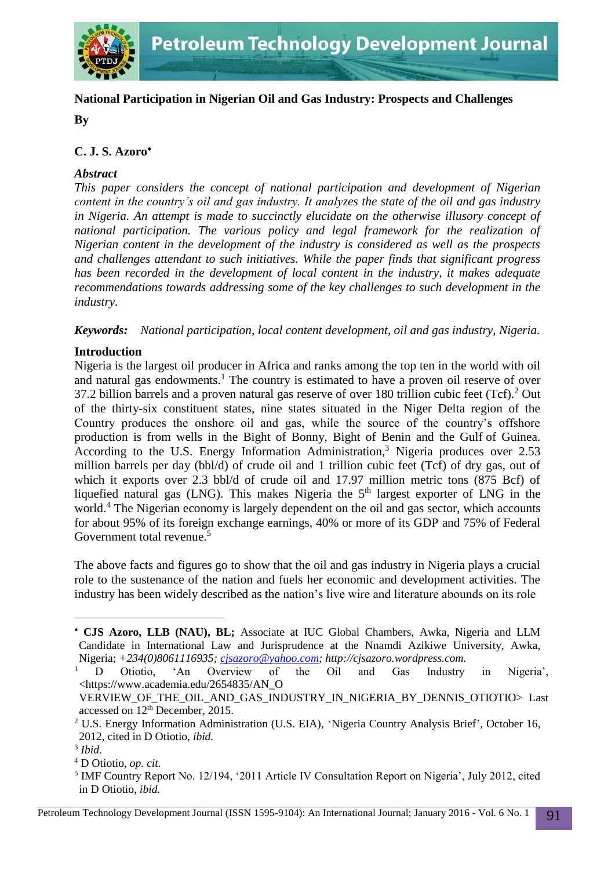

# **National Participation in Nigerian Oil and Gas Industry: Prospects and Challenges**

**By**

## **C. J. S. Azoro**

## *Abstract*

*This paper considers the concept of national participation and development of Nigerian content in the country's oil and gas industry. It analyzes the state of the oil and gas industry in Nigeria. An attempt is made to succinctly elucidate on the otherwise illusory concept of national participation. The various policy and legal framework for the realization of Nigerian content in the development of the industry is considered as well as the prospects and challenges attendant to such initiatives. While the paper finds that significant progress has been recorded in the development of local content in the industry, it makes adequate recommendations towards addressing some of the key challenges to such development in the industry.*

*Keywords: National participation, local content development, oil and gas industry, Nigeria.*

## **Introduction**

Nigeria is the largest oil producer in Africa and ranks among the top ten in the world with oil and natural gas endowments.<sup>1</sup> The country is estimated to have a proven oil reserve of over 37.2 billion barrels and a proven natural gas reserve of over 180 trillion cubic feet (Tcf).<sup>2</sup> Out of the thirty-six constituent states, nine states situated in the Niger Delta region of the Country produces the onshore oil and gas, while the source of the country's offshore production is from wells in the Bight of Bonny, Bight of Benin and the Gulf of Guinea. According to the U.S. Energy Information Administration,<sup>3</sup> Nigeria produces over 2.53 million barrels per day (bbl/d) of crude oil and 1 trillion cubic feet (Tcf) of dry gas, out of which it exports over 2.3 bbl/d of crude oil and 17.97 million metric tons (875 Bcf) of liquefied natural gas (LNG). This makes Nigeria the  $5<sup>th</sup>$  largest exporter of LNG in the world.<sup>4</sup> The Nigerian economy is largely dependent on the oil and gas sector, which accounts for about 95% of its foreign exchange earnings, 40% or more of its GDP and 75% of Federal Government total revenue.<sup>5</sup>

The above facts and figures go to show that the oil and gas industry in Nigeria plays a crucial role to the sustenance of the nation and fuels her economic and development activities. The industry has been widely described as the nation's live wire and literature abounds on its role

-

**CJS Azoro, LLB (NAU), BL;** Associate at IUC Global Chambers, Awka, Nigeria and LLM Candidate in International Law and Jurisprudence at the Nnamdi Azikiwe University, Awka, Nigeria; *+234(0)8061116935; [cjsazoro@yahoo.com;](mailto:cjsazoro@yahoo.com) http://cjsazoro.wordpress.com.*

<sup>&</sup>lt;sup>1</sup> D Otiotio, 'An Overview of the Oil and Gas Industry in Nigeria', <https://www.academia.edu/2654835/AN\_O

VERVIEW\_OF\_THE\_OIL\_AND\_GAS\_INDUSTRY\_IN\_NIGERIA\_BY\_DENNIS\_OTIOTIO> Last accessed on 12th December, 2015.

<sup>&</sup>lt;sup>2</sup> U.S. Energy Information Administration (U.S. EIA), 'Nigeria Country Analysis Brief', October 16, 2012, cited in D Otiotio, *ibid.*

<sup>3</sup> *Ibid.*

<sup>4</sup> D Otiotio, *op. cit.*

<sup>&</sup>lt;sup>5</sup> IMF Country Report No. 12/194, '2011 Article IV Consultation Report on Nigeria', July 2012, cited in D Otiotio, *ibid.*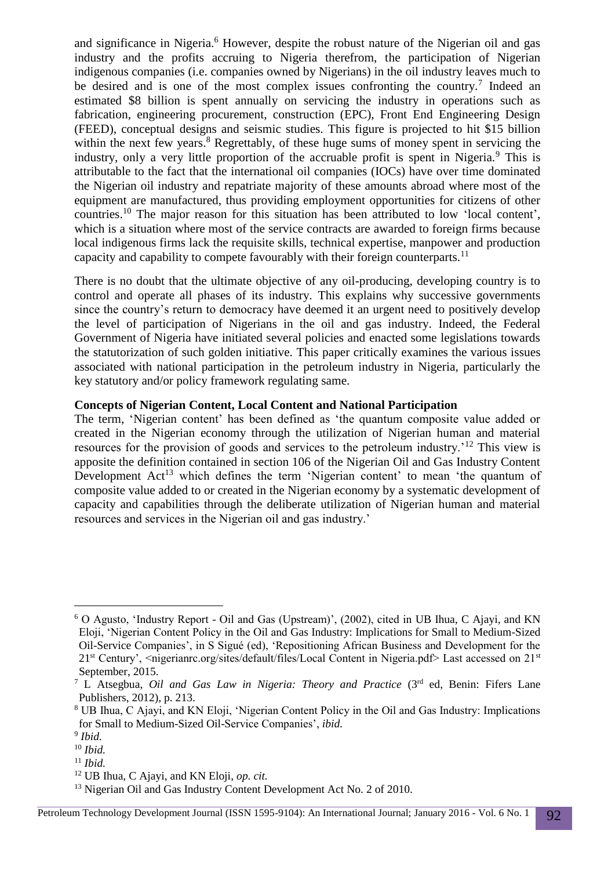and significance in Nigeria.<sup>6</sup> However, despite the robust nature of the Nigerian oil and gas industry and the profits accruing to Nigeria therefrom, the participation of Nigerian indigenous companies (i.e. companies owned by Nigerians) in the oil industry leaves much to be desired and is one of the most complex issues confronting the country.<sup>7</sup> Indeed an estimated \$8 billion is spent annually on servicing the industry in operations such as fabrication, engineering procurement, construction (EPC), Front End Engineering Design (FEED), conceptual designs and seismic studies. This figure is projected to hit \$15 billion within the next few years.<sup>8</sup> Regrettably, of these huge sums of money spent in servicing the industry, only a very little proportion of the accruable profit is spent in Nigeria.<sup>9</sup> This is attributable to the fact that the international oil companies (IOCs) have over time dominated the Nigerian oil industry and repatriate majority of these amounts abroad where most of the equipment are manufactured, thus providing employment opportunities for citizens of other countries.<sup>10</sup> The major reason for this situation has been attributed to low 'local content', which is a situation where most of the service contracts are awarded to foreign firms because local indigenous firms lack the requisite skills, technical expertise, manpower and production capacity and capability to compete favourably with their foreign counterparts.<sup>11</sup>

There is no doubt that the ultimate objective of any oil-producing, developing country is to control and operate all phases of its industry. This explains why successive governments since the country's return to democracy have deemed it an urgent need to positively develop the level of participation of Nigerians in the oil and gas industry. Indeed, the Federal Government of Nigeria have initiated several policies and enacted some legislations towards the statutorization of such golden initiative. This paper critically examines the various issues associated with national participation in the petroleum industry in Nigeria, particularly the key statutory and/or policy framework regulating same.

#### **Concepts of Nigerian Content, Local Content and National Participation**

The term, 'Nigerian content' has been defined as 'the quantum composite value added or created in the Nigerian economy through the utilization of Nigerian human and material resources for the provision of goods and services to the petroleum industry.'<sup>12</sup> This view is apposite the definition contained in section 106 of the Nigerian Oil and Gas Industry Content Development Act<sup>13</sup> which defines the term 'Nigerian content' to mean 'the quantum of composite value added to or created in the Nigerian economy by a systematic development of capacity and capabilities through the deliberate utilization of Nigerian human and material resources and services in the Nigerian oil and gas industry.'

<sup>6</sup> O Agusto, 'Industry Report - Oil and Gas (Upstream)', (2002), cited in UB Ihua, C Ajayi, and KN Eloji, 'Nigerian Content Policy in the Oil and Gas Industry: Implications for Small to Medium-Sized Oil-Service Companies', in S Sigué (ed), 'Repositioning African Business and Development for the 21st Century', <nigerianrc.org/sites/default/files/Local Content in Nigeria.pdf> Last accessed on 21st September, 2015.

<sup>7</sup> L Atsegbua, *Oil and Gas Law in Nigeria: Theory and Practice* (3rd ed, Benin: Fifers Lane Publishers, 2012), p. 213.

<sup>8</sup> UB Ihua, C Ajayi, and KN Eloji, 'Nigerian Content Policy in the Oil and Gas Industry: Implications for Small to Medium-Sized Oil-Service Companies', *ibid.*

<sup>9</sup> *Ibid.*

<sup>10</sup> *Ibid.*

 $11$  *Ibid.* 

<sup>12</sup> UB Ihua, C Ajayi, and KN Eloji, *op. cit.* 

<sup>&</sup>lt;sup>13</sup> Nigerian Oil and Gas Industry Content Development Act No. 2 of 2010.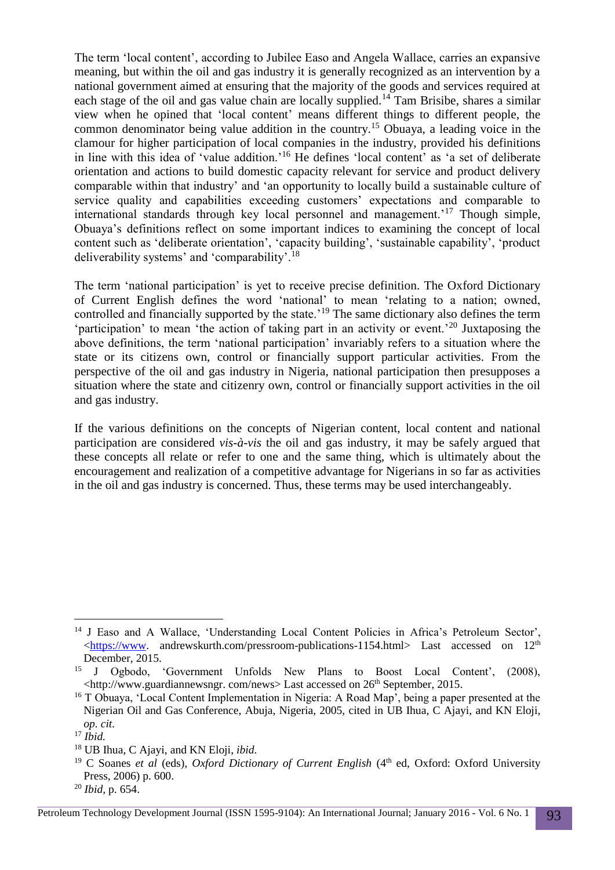The term 'local content', according to Jubilee Easo and Angela Wallace, carries an expansive meaning, but within the oil and gas industry it is generally recognized as an intervention by a national government aimed at ensuring that the majority of the goods and services required at each stage of the oil and gas value chain are locally supplied.<sup>14</sup> Tam Brisibe, shares a similar view when he opined that 'local content' means different things to different people, the common denominator being value addition in the country.<sup>15</sup> Obuaya, a leading voice in the clamour for higher participation of local companies in the industry, provided his definitions in line with this idea of 'value addition.'<sup>16</sup> He defines 'local content' as 'a set of deliberate orientation and actions to build domestic capacity relevant for service and product delivery comparable within that industry' and 'an opportunity to locally build a sustainable culture of service quality and capabilities exceeding customers' expectations and comparable to international standards through key local personnel and management.'<sup>17</sup> Though simple, Obuaya's definitions reflect on some important indices to examining the concept of local content such as 'deliberate orientation', 'capacity building', 'sustainable capability', 'product deliverability systems' and 'comparability'.<sup>18</sup>

The term 'national participation' is yet to receive precise definition. The Oxford Dictionary of Current English defines the word 'national' to mean 'relating to a nation; owned, controlled and financially supported by the state.'<sup>19</sup> The same dictionary also defines the term 'participation' to mean 'the action of taking part in an activity or event.'<sup>20</sup> Juxtaposing the above definitions, the term 'national participation' invariably refers to a situation where the state or its citizens own, control or financially support particular activities. From the perspective of the oil and gas industry in Nigeria, national participation then presupposes a situation where the state and citizenry own, control or financially support activities in the oil and gas industry.

If the various definitions on the concepts of Nigerian content, local content and national participation are considered *vis-à-vis* the oil and gas industry, it may be safely argued that these concepts all relate or refer to one and the same thing, which is ultimately about the encouragement and realization of a competitive advantage for Nigerians in so far as activities in the oil and gas industry is concerned. Thus, these terms may be used interchangeably.

 $\overline{a}$ <sup>14</sup> J Easo and A Wallace, 'Understanding Local Content Policies in Africa's Petroleum Sector',  $\lt$ https://www. andrewskurth.com/pressroom-publications-1154.html> Last accessed on 12<sup>th</sup> December, 2015.

<sup>15</sup> J Ogbodo, 'Government Unfolds New Plans to Boost Local Content', (2008), <http://www.guardiannewsngr. com/news> Last accessed on 26th September, 2015.

<sup>&</sup>lt;sup>16</sup> T Obuaya, 'Local Content Implementation in Nigeria: A Road Map', being a paper presented at the Nigerian Oil and Gas Conference, Abuja, Nigeria, 2005, cited in UB Ihua, C Ajayi, and KN Eloji, *op. cit.*

<sup>17</sup> *Ibid.*

<sup>18</sup> UB Ihua, C Ajayi, and KN Eloji, *ibid.*

<sup>&</sup>lt;sup>19</sup> C Soanes *et al* (eds), *Oxford Dictionary of Current English* (4<sup>th</sup> ed, Oxford: Oxford University Press, 2006) p. 600.

<sup>20</sup> *Ibid,* p. 654.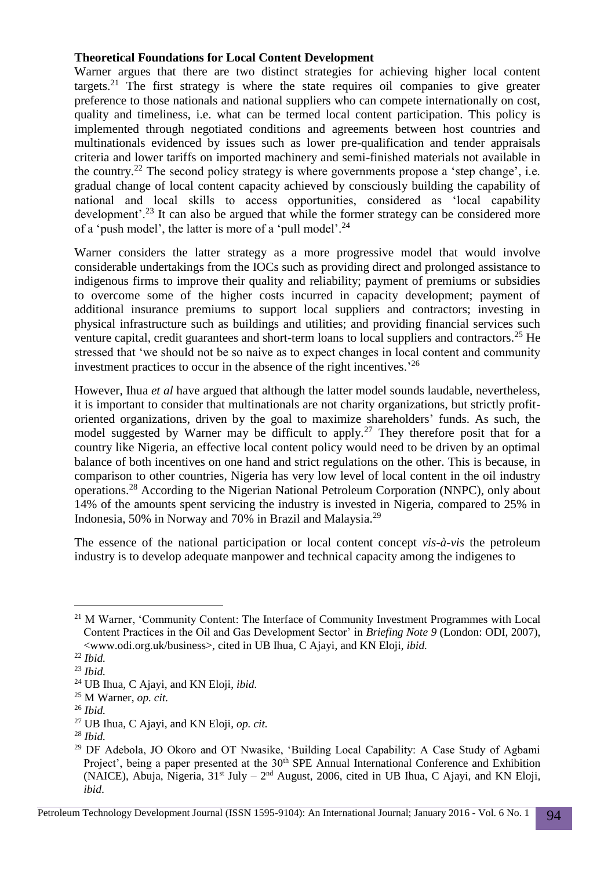### **Theoretical Foundations for Local Content Development**

Warner argues that there are two distinct strategies for achieving higher local content targets.<sup>21</sup> The first strategy is where the state requires oil companies to give greater preference to those nationals and national suppliers who can compete internationally on cost, quality and timeliness, i.e. what can be termed local content participation. This policy is implemented through negotiated conditions and agreements between host countries and multinationals evidenced by issues such as lower pre-qualification and tender appraisals criteria and lower tariffs on imported machinery and semi-finished materials not available in the country.<sup>22</sup> The second policy strategy is where governments propose a 'step change', i.e. gradual change of local content capacity achieved by consciously building the capability of national and local skills to access opportunities, considered as 'local capability development'.<sup>23</sup> It can also be argued that while the former strategy can be considered more of a 'push model', the latter is more of a 'pull model'.<sup>24</sup>

Warner considers the latter strategy as a more progressive model that would involve considerable undertakings from the IOCs such as providing direct and prolonged assistance to indigenous firms to improve their quality and reliability; payment of premiums or subsidies to overcome some of the higher costs incurred in capacity development; payment of additional insurance premiums to support local suppliers and contractors; investing in physical infrastructure such as buildings and utilities; and providing financial services such venture capital, credit guarantees and short-term loans to local suppliers and contractors.<sup>25</sup> He stressed that 'we should not be so naive as to expect changes in local content and community investment practices to occur in the absence of the right incentives.'<sup>26</sup>

However, Ihua *et al* have argued that although the latter model sounds laudable, nevertheless, it is important to consider that multinationals are not charity organizations, but strictly profitoriented organizations, driven by the goal to maximize shareholders' funds. As such, the model suggested by Warner may be difficult to apply.<sup>27</sup> They therefore posit that for a country like Nigeria, an effective local content policy would need to be driven by an optimal balance of both incentives on one hand and strict regulations on the other. This is because, in comparison to other countries, Nigeria has very low level of local content in the oil industry operations.<sup>28</sup> According to the Nigerian National Petroleum Corporation (NNPC), only about 14% of the amounts spent servicing the industry is invested in Nigeria, compared to 25% in Indonesia, 50% in Norway and 70% in Brazil and Malaysia.<sup>29</sup>

The essence of the national participation or local content concept *vis-à-vis* the petroleum industry is to develop adequate manpower and technical capacity among the indigenes to

<sup>&</sup>lt;sup>21</sup> M Warner, 'Community Content: The Interface of Community Investment Programmes with Local Content Practices in the Oil and Gas Development Sector' in *Briefing Note 9* (London: ODI, 2007), <www.odi.org.uk/business>, cited in UB Ihua, C Ajayi, and KN Eloji, *ibid.*

<sup>22</sup> *Ibid.*

<sup>23</sup> *Ibid.*

<sup>24</sup> UB Ihua, C Ajayi, and KN Eloji, *ibid.*

<sup>25</sup> M Warner, *op. cit.*

<sup>26</sup> *Ibid.*

<sup>27</sup> UB Ihua, C Ajayi, and KN Eloji, *op. cit.*

<sup>28</sup> *Ibid.*

<sup>29</sup> DF Adebola, JO Okoro and OT Nwasike, 'Building Local Capability: A Case Study of Agbami Project', being a paper presented at the 30<sup>th</sup> SPE Annual International Conference and Exhibition (NAICE), Abuja, Nigeria,  $31<sup>st</sup>$  July  $-2<sup>nd</sup>$  August, 2006, cited in UB Ihua, C Ajayi, and KN Eloji, *ibid*.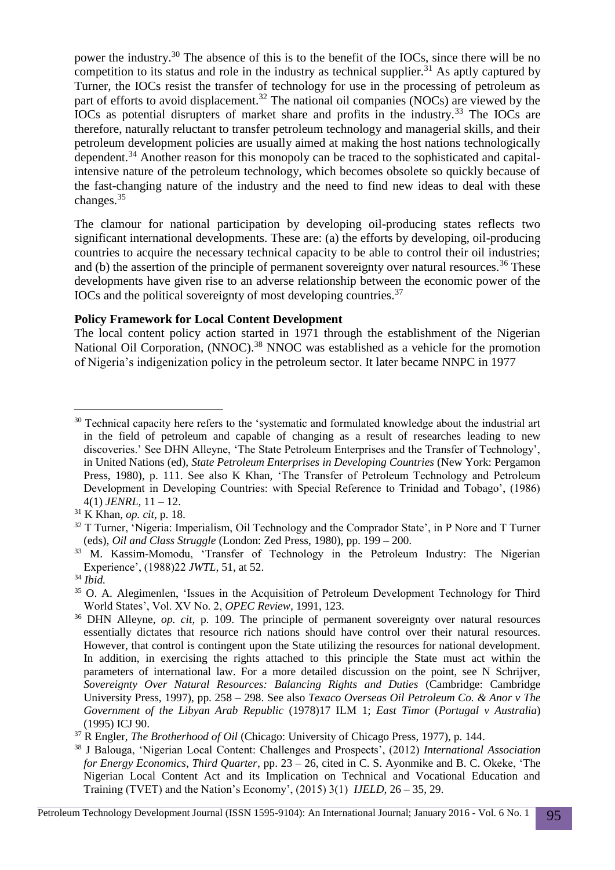power the industry.<sup>30</sup> The absence of this is to the benefit of the IOCs, since there will be no competition to its status and role in the industry as technical supplier.<sup>31</sup> As aptly captured by Turner, the IOCs resist the transfer of technology for use in the processing of petroleum as part of efforts to avoid displacement.<sup>32</sup> The national oil companies (NOCs) are viewed by the IOCs as potential disrupters of market share and profits in the industry.<sup>33</sup> The IOCs are therefore, naturally reluctant to transfer petroleum technology and managerial skills, and their petroleum development policies are usually aimed at making the host nations technologically dependent.<sup>34</sup> Another reason for this monopoly can be traced to the sophisticated and capitalintensive nature of the petroleum technology, which becomes obsolete so quickly because of the fast-changing nature of the industry and the need to find new ideas to deal with these changes.<sup>35</sup>

The clamour for national participation by developing oil-producing states reflects two significant international developments. These are: (a) the efforts by developing, oil-producing countries to acquire the necessary technical capacity to be able to control their oil industries; and (b) the assertion of the principle of permanent sovereignty over natural resources.<sup>36</sup> These developments have given rise to an adverse relationship between the economic power of the IOCs and the political sovereignty of most developing countries.<sup>37</sup>

## **Policy Framework for Local Content Development**

The local content policy action started in 1971 through the establishment of the Nigerian National Oil Corporation, (NNOC).<sup>38</sup> NNOC was established as a vehicle for the promotion of Nigeria's indigenization policy in the petroleum sector. It later became NNPC in 1977

-

<sup>&</sup>lt;sup>30</sup> Technical capacity here refers to the 'systematic and formulated knowledge about the industrial art in the field of petroleum and capable of changing as a result of researches leading to new discoveries.' See DHN Alleyne, 'The State Petroleum Enterprises and the Transfer of Technology', in United Nations (ed), *State Petroleum Enterprises in Developing Countries* (New York: Pergamon Press, 1980), p. 111. See also K Khan, 'The Transfer of Petroleum Technology and Petroleum Development in Developing Countries: with Special Reference to Trinidad and Tobago', (1986) 4(1) *JENRL,* 11 – 12.

<sup>31</sup> K Khan, *op. cit,* p. 18.

<sup>&</sup>lt;sup>32</sup> T Turner, 'Nigeria: Imperialism, Oil Technology and the Comprador State', in P Nore and T Turner (eds), *Oil and Class Struggle* (London: Zed Press, 1980), pp. 199 – 200.

<sup>&</sup>lt;sup>33</sup> M. Kassim-Momodu, 'Transfer of Technology in the Petroleum Industry: The Nigerian Experience', (1988)22 *JWTL,* 51, at 52.

<sup>34</sup> *Ibid.*

<sup>&</sup>lt;sup>35</sup> O. A. Alegimenlen, 'Issues in the Acquisition of Petroleum Development Technology for Third World States', Vol. XV No. 2, *OPEC Review,* 1991, 123.

<sup>36</sup> DHN Alleyne, *op. cit,* p. 109. The principle of permanent sovereignty over natural resources essentially dictates that resource rich nations should have control over their natural resources. However, that control is contingent upon the State utilizing the resources for national development. In addition, in exercising the rights attached to this principle the State must act within the parameters of international law. For a more detailed discussion on the point, see N Schrijver, *Sovereignty Over Natural Resources: Balancing Rights and Duties* (Cambridge: Cambridge University Press, 1997), pp. 258 – 298. See also *Texaco Overseas Oil Petroleum Co. & Anor v The Government of the Libyan Arab Republic* (1978)17 ILM 1; *East Timor* (*Portugal v Australia*) (1995) ICJ 90.

<sup>37</sup> R Engler, *The Brotherhood of Oil* (Chicago: University of Chicago Press, 1977), p. 144.

<sup>38</sup> J Balouga, 'Nigerian Local Content: Challenges and Prospects', (2012) *International Association for Energy Economics, Third Quarter*, pp. 23 – 26, cited in C. S. Ayonmike and B. C. Okeke, 'The Nigerian Local Content Act and its Implication on Technical and Vocational Education and Training (TVET) and the Nation's Economy', (2015) 3(1) *IJELD*, 26 – 35, 29.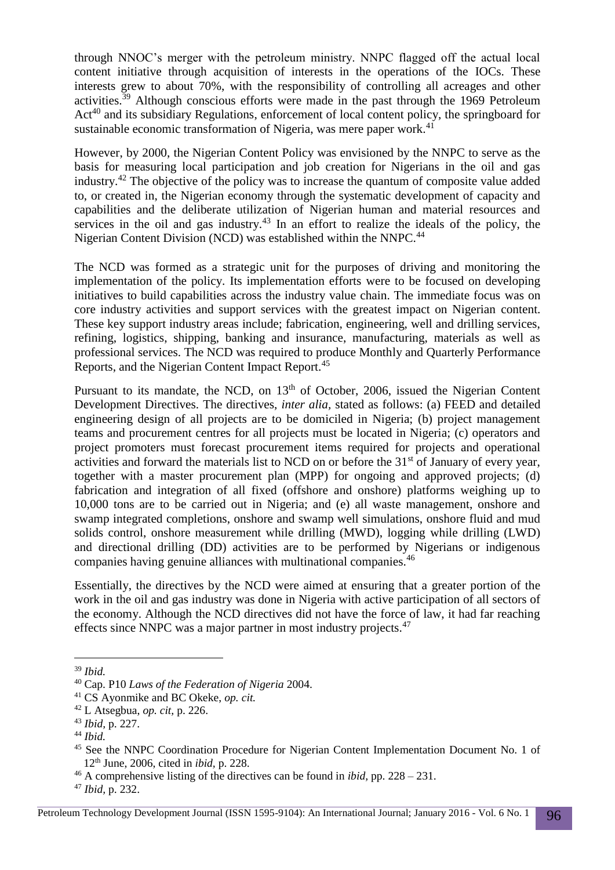through NNOC's merger with the petroleum ministry. NNPC flagged off the actual local content initiative through acquisition of interests in the operations of the IOCs. These interests grew to about 70%, with the responsibility of controlling all acreages and other activities.<sup>39</sup> Although conscious efforts were made in the past through the 1969 Petroleum Act<sup>40</sup> and its subsidiary Regulations, enforcement of local content policy, the springboard for sustainable economic transformation of Nigeria, was mere paper work.<sup>41</sup>

However, by 2000, the Nigerian Content Policy was envisioned by the NNPC to serve as the basis for measuring local participation and job creation for Nigerians in the oil and gas industry.<sup>42</sup> The objective of the policy was to increase the quantum of composite value added to, or created in, the Nigerian economy through the systematic development of capacity and capabilities and the deliberate utilization of Nigerian human and material resources and services in the oil and gas industry.<sup>43</sup> In an effort to realize the ideals of the policy, the Nigerian Content Division (NCD) was established within the NNPC.<sup>44</sup>

The NCD was formed as a strategic unit for the purposes of driving and monitoring the implementation of the policy. Its implementation efforts were to be focused on developing initiatives to build capabilities across the industry value chain. The immediate focus was on core industry activities and support services with the greatest impact on Nigerian content. These key support industry areas include; fabrication, engineering, well and drilling services, refining, logistics, shipping, banking and insurance, manufacturing, materials as well as professional services. The NCD was required to produce Monthly and Quarterly Performance Reports, and the Nigerian Content Impact Report.<sup>45</sup>

Pursuant to its mandate, the NCD, on  $13<sup>th</sup>$  of October, 2006, issued the Nigerian Content Development Directives. The directives, *inter alia,* stated as follows: (a) FEED and detailed engineering design of all projects are to be domiciled in Nigeria; (b) project management teams and procurement centres for all projects must be located in Nigeria; (c) operators and project promoters must forecast procurement items required for projects and operational activities and forward the materials list to NCD on or before the 31<sup>st</sup> of January of every year, together with a master procurement plan (MPP) for ongoing and approved projects; (d) fabrication and integration of all fixed (offshore and onshore) platforms weighing up to 10,000 tons are to be carried out in Nigeria; and (e) all waste management, onshore and swamp integrated completions, onshore and swamp well simulations, onshore fluid and mud solids control, onshore measurement while drilling (MWD), logging while drilling (LWD) and directional drilling (DD) activities are to be performed by Nigerians or indigenous companies having genuine alliances with multinational companies.<sup>46</sup>

Essentially, the directives by the NCD were aimed at ensuring that a greater portion of the work in the oil and gas industry was done in Nigeria with active participation of all sectors of the economy. Although the NCD directives did not have the force of law, it had far reaching effects since NNPC was a major partner in most industry projects.<sup>47</sup>

<sup>39</sup> *Ibid.*

<sup>40</sup> Cap. P10 *Laws of the Federation of Nigeria* 2004.

<sup>41</sup> CS Ayonmike and BC Okeke, *op. cit.*

<sup>42</sup> L Atsegbua, *op. cit,* p. 226.

<sup>43</sup> *Ibid,* p. 227.

<sup>44</sup> *Ibid.*

<sup>&</sup>lt;sup>45</sup> See the NNPC Coordination Procedure for Nigerian Content Implementation Document No. 1 of 12th June, 2006, cited in *ibid,* p. 228.

<sup>46</sup> A comprehensive listing of the directives can be found in *ibid,* pp. 228 – 231.

<sup>47</sup> *Ibid,* p. 232.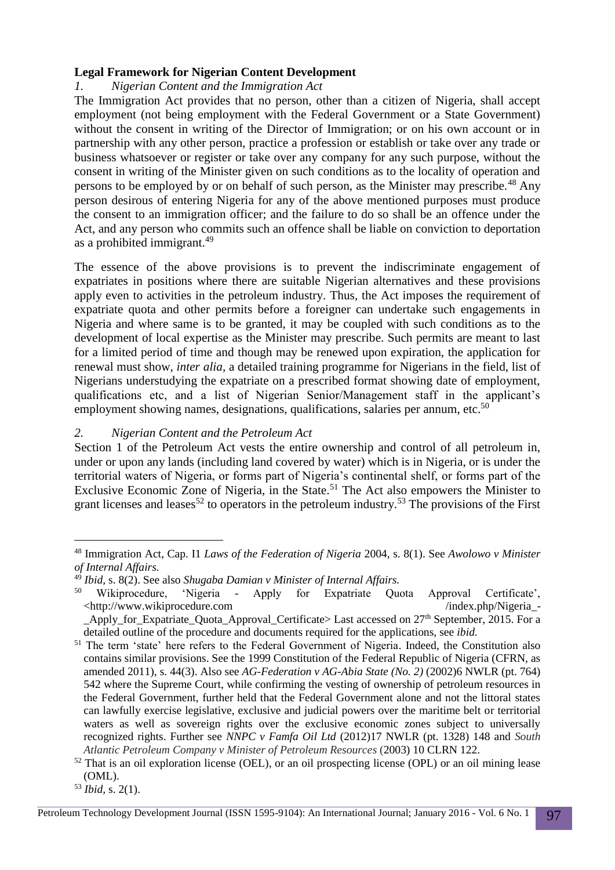#### **Legal Framework for Nigerian Content Development**

### *1. Nigerian Content and the Immigration Act*

The Immigration Act provides that no person, other than a citizen of Nigeria, shall accept employment (not being employment with the Federal Government or a State Government) without the consent in writing of the Director of Immigration; or on his own account or in partnership with any other person, practice a profession or establish or take over any trade or business whatsoever or register or take over any company for any such purpose, without the consent in writing of the Minister given on such conditions as to the locality of operation and persons to be employed by or on behalf of such person, as the Minister may prescribe.<sup>48</sup> Any person desirous of entering Nigeria for any of the above mentioned purposes must produce the consent to an immigration officer; and the failure to do so shall be an offence under the Act, and any person who commits such an offence shall be liable on conviction to deportation as a prohibited immigrant.<sup>49</sup>

The essence of the above provisions is to prevent the indiscriminate engagement of expatriates in positions where there are suitable Nigerian alternatives and these provisions apply even to activities in the petroleum industry. Thus, the Act imposes the requirement of expatriate quota and other permits before a foreigner can undertake such engagements in Nigeria and where same is to be granted, it may be coupled with such conditions as to the development of local expertise as the Minister may prescribe. Such permits are meant to last for a limited period of time and though may be renewed upon expiration, the application for renewal must show, *inter alia,* a detailed training programme for Nigerians in the field, list of Nigerians understudying the expatriate on a prescribed format showing date of employment, qualifications etc, and a list of Nigerian Senior/Management staff in the applicant's employment showing names, designations, qualifications, salaries per annum, etc.<sup>50</sup>

### *2. Nigerian Content and the Petroleum Act*

Section 1 of the Petroleum Act vests the entire ownership and control of all petroleum in, under or upon any lands (including land covered by water) which is in Nigeria, or is under the territorial waters of Nigeria, or forms part of Nigeria's continental shelf, or forms part of the Exclusive Economic Zone of Nigeria, in the State.<sup>51</sup> The Act also empowers the Minister to grant licenses and leases<sup>52</sup> to operators in the petroleum industry.<sup>53</sup> The provisions of the First

<sup>48</sup> Immigration Act, Cap. I1 *Laws of the Federation of Nigeria* 2004, s. 8(1). See *Awolowo v Minister of Internal Affairs.*

<sup>&</sup>lt;sup>49</sup> *Ibid,* s. 8(2). See also *Shugaba Damian v Minister of Internal Affairs*.<br><sup>50</sup> Wikiprocedure *S*Nigeria - Apply for Expatriate Ou

<sup>50</sup> Wikiprocedure, 'Nigeria - Apply for Expatriate Quota Approval Certificate',  $\langle$ http://www.wikiprocedure.com //index.php/Nigeria\_-Apply for Expatriate Quota Approval Certificate> Last accessed on 27<sup>th</sup> September, 2015. For a

detailed outline of the procedure and documents required for the applications, see *ibid.*

<sup>&</sup>lt;sup>51</sup> The term 'state' here refers to the Federal Government of Nigeria. Indeed, the Constitution also contains similar provisions. See the 1999 Constitution of the Federal Republic of Nigeria (CFRN, as amended 2011), s. 44(3). Also see *AG-Federation v AG-Abia State (No. 2)* (2002)6 NWLR (pt. 764) 542 where the Supreme Court, while confirming the vesting of ownership of petroleum resources in the Federal Government, further held that the Federal Government alone and not the littoral states can lawfully exercise legislative, exclusive and judicial powers over the maritime belt or territorial waters as well as sovereign rights over the exclusive economic zones subject to universally recognized rights. Further see *NNPC v Famfa Oil Ltd* (2012)17 NWLR (pt. 1328) 148 and *South Atlantic Petroleum Company v Minister of Petroleum Resources* (2003) 10 CLRN 122.

 $52$  That is an oil exploration license (OEL), or an oil prospecting license (OPL) or an oil mining lease (OML).

<sup>53</sup> *Ibid,* s. 2(1).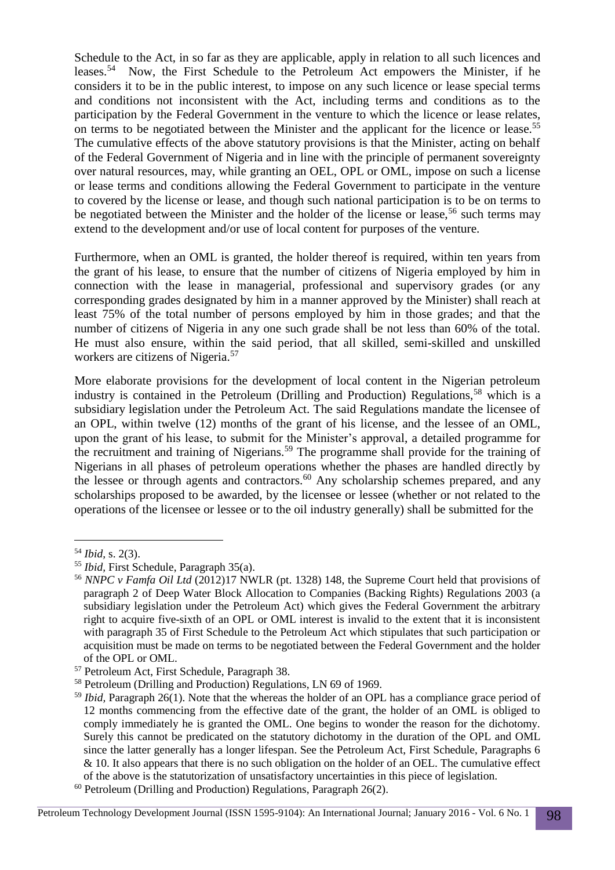Schedule to the Act, in so far as they are applicable, apply in relation to all such licences and leases.<sup>54</sup> Now, the First Schedule to the Petroleum Act empowers the Minister, if he considers it to be in the public interest, to impose on any such licence or lease special terms and conditions not inconsistent with the Act, including terms and conditions as to the participation by the Federal Government in the venture to which the licence or lease relates, on terms to be negotiated between the Minister and the applicant for the licence or lease.<sup>55</sup> The cumulative effects of the above statutory provisions is that the Minister, acting on behalf of the Federal Government of Nigeria and in line with the principle of permanent sovereignty over natural resources, may, while granting an OEL, OPL or OML, impose on such a license or lease terms and conditions allowing the Federal Government to participate in the venture to covered by the license or lease, and though such national participation is to be on terms to be negotiated between the Minister and the holder of the license or lease,  $56$  such terms may extend to the development and/or use of local content for purposes of the venture.

Furthermore, when an OML is granted, the holder thereof is required, within ten years from the grant of his lease, to ensure that the number of citizens of Nigeria employed by him in connection with the lease in managerial, professional and supervisory grades (or any corresponding grades designated by him in a manner approved by the Minister) shall reach at least 75% of the total number of persons employed by him in those grades; and that the number of citizens of Nigeria in any one such grade shall be not less than 60% of the total. He must also ensure, within the said period, that all skilled, semi-skilled and unskilled workers are citizens of Nigeria.<sup>57</sup>

More elaborate provisions for the development of local content in the Nigerian petroleum industry is contained in the Petroleum (Drilling and Production) Regulations,<sup>58</sup> which is a subsidiary legislation under the Petroleum Act. The said Regulations mandate the licensee of an OPL, within twelve (12) months of the grant of his license, and the lessee of an OML, upon the grant of his lease, to submit for the Minister's approval, a detailed programme for the recruitment and training of Nigerians.<sup>59</sup> The programme shall provide for the training of Nigerians in all phases of petroleum operations whether the phases are handled directly by the lessee or through agents and contractors.<sup>60</sup> Any scholarship schemes prepared, and any scholarships proposed to be awarded, by the licensee or lessee (whether or not related to the operations of the licensee or lessee or to the oil industry generally) shall be submitted for the

<sup>54</sup> *Ibid,* s. 2(3).

<sup>55</sup> *Ibid,* First Schedule, Paragraph 35(a).

<sup>56</sup> *NNPC v Famfa Oil Ltd* (2012)17 NWLR (pt. 1328) 148, the Supreme Court held that provisions of paragraph 2 of Deep Water Block Allocation to Companies (Backing Rights) Regulations 2003 (a subsidiary legislation under the Petroleum Act) which gives the Federal Government the arbitrary right to acquire five-sixth of an OPL or OML interest is invalid to the extent that it is inconsistent with paragraph 35 of First Schedule to the Petroleum Act which stipulates that such participation or acquisition must be made on terms to be negotiated between the Federal Government and the holder of the OPL or OML.

<sup>57</sup> Petroleum Act, First Schedule, Paragraph 38.

<sup>58</sup> Petroleum (Drilling and Production) Regulations, LN 69 of 1969.

<sup>59</sup> *Ibid,* Paragraph 26(1). Note that the whereas the holder of an OPL has a compliance grace period of 12 months commencing from the effective date of the grant, the holder of an OML is obliged to comply immediately he is granted the OML. One begins to wonder the reason for the dichotomy. Surely this cannot be predicated on the statutory dichotomy in the duration of the OPL and OML since the latter generally has a longer lifespan. See the Petroleum Act, First Schedule, Paragraphs 6 & 10. It also appears that there is no such obligation on the holder of an OEL. The cumulative effect of the above is the statutorization of unsatisfactory uncertainties in this piece of legislation. <sup>60</sup> Petroleum (Drilling and Production) Regulations, Paragraph 26(2).

Petroleum Technology Development Journal (ISSN 1595-9104): An International Journal; January 2016 - Vol. 6 No. 1 98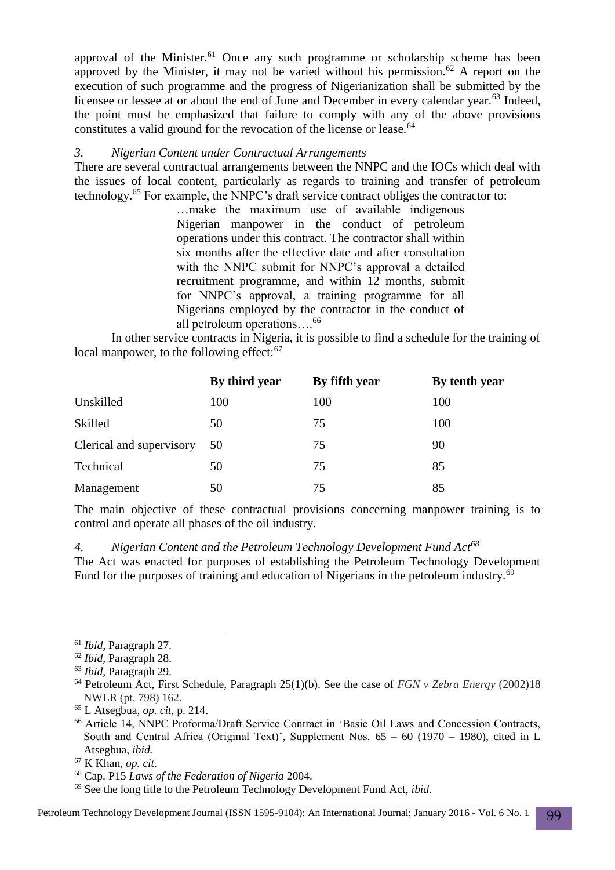approval of the Minister.<sup>61</sup> Once any such programme or scholarship scheme has been approved by the Minister, it may not be varied without his permission.<sup>62</sup> A report on the execution of such programme and the progress of Nigerianization shall be submitted by the licensee or lessee at or about the end of June and December in every calendar year.<sup>63</sup> Indeed, the point must be emphasized that failure to comply with any of the above provisions constitutes a valid ground for the revocation of the license or lease.<sup>64</sup>

### *3. Nigerian Content under Contractual Arrangements*

There are several contractual arrangements between the NNPC and the IOCs which deal with the issues of local content, particularly as regards to training and transfer of petroleum technology.<sup>65</sup> For example, the NNPC's draft service contract obliges the contractor to:

…make the maximum use of available indigenous Nigerian manpower in the conduct of petroleum operations under this contract. The contractor shall within six months after the effective date and after consultation with the NNPC submit for NNPC's approval a detailed recruitment programme, and within 12 months, submit for NNPC's approval, a training programme for all Nigerians employed by the contractor in the conduct of all petroleum operations….<sup>66</sup>

In other service contracts in Nigeria, it is possible to find a schedule for the training of local manpower, to the following effect:<sup>67</sup>

|                          | By third year | By fifth year | By tenth year |
|--------------------------|---------------|---------------|---------------|
| Unskilled                | 100           | 100           | 100           |
| Skilled                  | 50            | 75            | 100           |
| Clerical and supervisory | 50            | 75            | 90            |
| Technical                | 50            | 75            | 85            |
| Management               | 50            | 75            | 85            |

The main objective of these contractual provisions concerning manpower training is to control and operate all phases of the oil industry.

*4. Nigerian Content and the Petroleum Technology Development Fund Act<sup>68</sup>* The Act was enacted for purposes of establishing the Petroleum Technology Development Fund for the purposes of training and education of Nigerians in the petroleum industry.<sup>69</sup>

-

<sup>61</sup> *Ibid,* Paragraph 27.

<sup>62</sup> *Ibid,* Paragraph 28.

<sup>63</sup> *Ibid,* Paragraph 29.

<sup>64</sup> Petroleum Act, First Schedule, Paragraph 25(1)(b). See the case of *FGN v Zebra Energy* (2002)18 NWLR (pt. 798) 162.

<sup>65</sup> L Atsegbua, *op. cit,* p. 214.

<sup>66</sup> Article 14, NNPC Proforma/Draft Service Contract in 'Basic Oil Laws and Concession Contracts, South and Central Africa (Original Text)', Supplement Nos.  $65 - 60$  (1970 – 1980), cited in L Atsegbua, *ibid.*

<sup>67</sup> K Khan, *op. cit*.

<sup>68</sup> Cap. P15 *Laws of the Federation of Nigeria* 2004.

<sup>69</sup> See the long title to the Petroleum Technology Development Fund Act, *ibid.*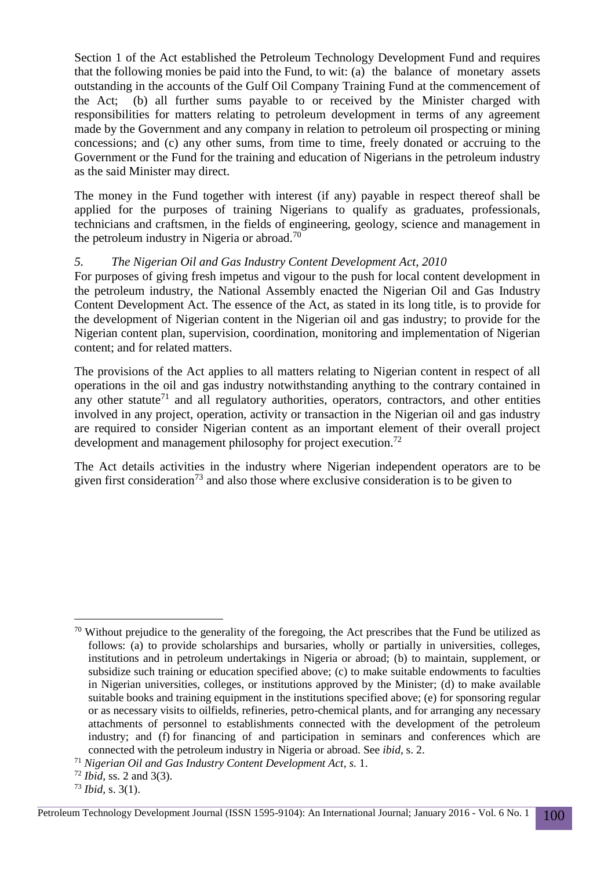Section 1 of the Act established the Petroleum Technology Development Fund and requires that the following monies be paid into the Fund, to wit: (a) the balance of monetary assets outstanding in the accounts of the Gulf Oil Company Training Fund at the commencement of the Act; (b) all further sums payable to or received by the Minister charged with responsibilities for matters relating to petroleum development in terms of any agreement made by the Government and any company in relation to petroleum oil prospecting or mining concessions; and (c) any other sums, from time to time, freely donated or accruing to the Government or the Fund for the training and education of Nigerians in the petroleum industry as the said Minister may direct.

The money in the Fund together with interest (if any) payable in respect thereof shall be applied for the purposes of training Nigerians to qualify as graduates, professionals, technicians and craftsmen, in the fields of engineering, geology, science and management in the petroleum industry in Nigeria or abroad.<sup>70</sup>

#### *5. The Nigerian Oil and Gas Industry Content Development Act, 2010*

For purposes of giving fresh impetus and vigour to the push for local content development in the petroleum industry, the National Assembly enacted the Nigerian Oil and Gas Industry Content Development Act. The essence of the Act, as stated in its long title, is to provide for the development of Nigerian content in the Nigerian oil and gas industry; to provide for the Nigerian content plan, supervision, coordination, monitoring and implementation of Nigerian content; and for related matters.

The provisions of the Act applies to all matters relating to Nigerian content in respect of all operations in the oil and gas industry notwithstanding anything to the contrary contained in any other statute<sup>71</sup> and all regulatory authorities, operators, contractors, and other entities involved in any project, operation, activity or transaction in the Nigerian oil and gas industry are required to consider Nigerian content as an important element of their overall project development and management philosophy for project execution.<sup>72</sup>

The Act details activities in the industry where Nigerian independent operators are to be given first consideration<sup>73</sup> and also those where exclusive consideration is to be given to

 $\overline{a}$  $70$  Without prejudice to the generality of the foregoing, the Act prescribes that the Fund be utilized as follows: (a) to provide scholarships and bursaries, wholly or partially in universities, colleges, institutions and in petroleum undertakings in Nigeria or abroad; (b) to maintain, supplement, or subsidize such training or education specified above; (c) to make suitable endowments to faculties in Nigerian universities, colleges, or institutions approved by the Minister; (d) to make available suitable books and training equipment in the institutions specified above; (e) for sponsoring regular or as necessary visits to oilfields, refineries, petro-chemical plants, and for arranging any necessary attachments of personnel to establishments connected with the development of the petroleum industry; and (f) for financing of and participation in seminars and conferences which are connected with the petroleum industry in Nigeria or abroad. See *ibid,* s. 2.

<sup>71</sup> *Nigerian Oil and Gas Industry Content Development Act, s.* 1.

<sup>72</sup> *Ibid,* ss. 2 and 3(3).

<sup>73</sup> *Ibid,* s. 3(1).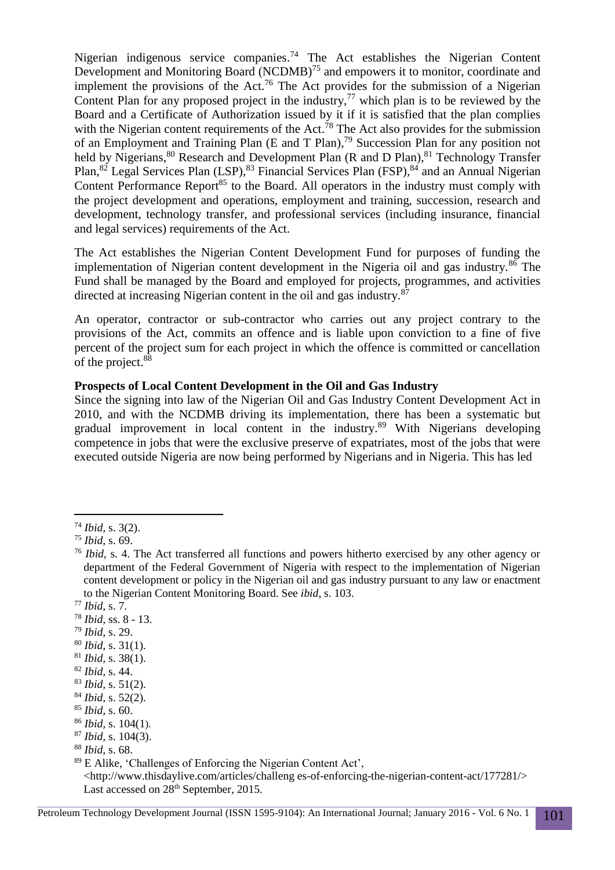Nigerian indigenous service companies.<sup>74</sup> The Act establishes the Nigerian Content Development and Monitoring Board (NCDMB)<sup>75</sup> and empowers it to monitor, coordinate and implement the provisions of the Act.<sup>76</sup> The Act provides for the submission of a Nigerian Content Plan for any proposed project in the industry,  $77$  which plan is to be reviewed by the Board and a Certificate of Authorization issued by it if it is satisfied that the plan complies with the Nigerian content requirements of the Act.<sup>78</sup> The Act also provides for the submission of an Employment and Training Plan (E and T Plan), <sup>79</sup> Succession Plan for any position not held by Nigerians,<sup>80</sup> Research and Development Plan (R and D Plan),<sup>81</sup> Technology Transfer Plan,<sup>82</sup> Legal Services Plan (LSP),<sup>83</sup> Financial Services Plan (FSP),<sup>84</sup> and an Annual Nigerian Content Performance Report<sup>85</sup> to the Board. All operators in the industry must comply with the project development and operations, employment and training, succession, research and development, technology transfer, and professional services (including insurance, financial and legal services) requirements of the Act.

The Act establishes the Nigerian Content Development Fund for purposes of funding the implementation of Nigerian content development in the Nigeria oil and gas industry. $8\overline{6}$  The Fund shall be managed by the Board and employed for projects, programmes, and activities directed at increasing Nigerian content in the oil and gas industry.<sup>8</sup>

An operator, contractor or sub-contractor who carries out any project contrary to the provisions of the Act, commits an offence and is liable upon conviction to a fine of five percent of the project sum for each project in which the offence is committed or cancellation of the project.<sup>88</sup>

#### **Prospects of Local Content Development in the Oil and Gas Industry**

Since the signing into law of the Nigerian Oil and Gas Industry Content Development Act in 2010, and with the NCDMB driving its implementation, there has been a systematic but gradual improvement in local content in the industry. <sup>89</sup> With Nigerians developing competence in jobs that were the exclusive preserve of expatriates, most of the jobs that were executed outside Nigeria are now being performed by Nigerians and in Nigeria. This has led

- <sup>78</sup> *Ibid,* ss. 8 13.
- <sup>79</sup> *Ibid,* s. 29.
- <sup>80</sup> *Ibid,* s. 31(1).
- <sup>81</sup> *Ibid,* s. 38(1).
- <sup>82</sup> *Ibid,* s. 44.
- <sup>83</sup> *Ibid,* s. 51(2).
- <sup>84</sup> *Ibid,* s. 52(2).
- <sup>85</sup> *Ibid,* s. 60.
- <sup>86</sup> *Ibid,* s. 104(1).
- <sup>87</sup> *Ibid,* s. 104(3).
- <sup>88</sup> *Ibid,* s. 68.

<http://www.thisdaylive.com/articles/challeng es-of-enforcing-the-nigerian-content-act/177281/> Last accessed on 28<sup>th</sup> September, 2015.

 $\overline{a}$ <sup>74</sup> *Ibid,* s. 3(2).

<sup>75</sup> *Ibid,* s. 69.

<sup>76</sup> *Ibid,* s. 4. The Act transferred all functions and powers hitherto exercised by any other agency or department of the Federal Government of Nigeria with respect to the implementation of Nigerian content development or policy in the Nigerian oil and gas industry pursuant to any law or enactment to the Nigerian Content Monitoring Board. See *ibid,* s. 103.

<sup>77</sup> *Ibid,* s. 7.

<sup>89</sup> E Alike, 'Challenges of Enforcing the Nigerian Content Act',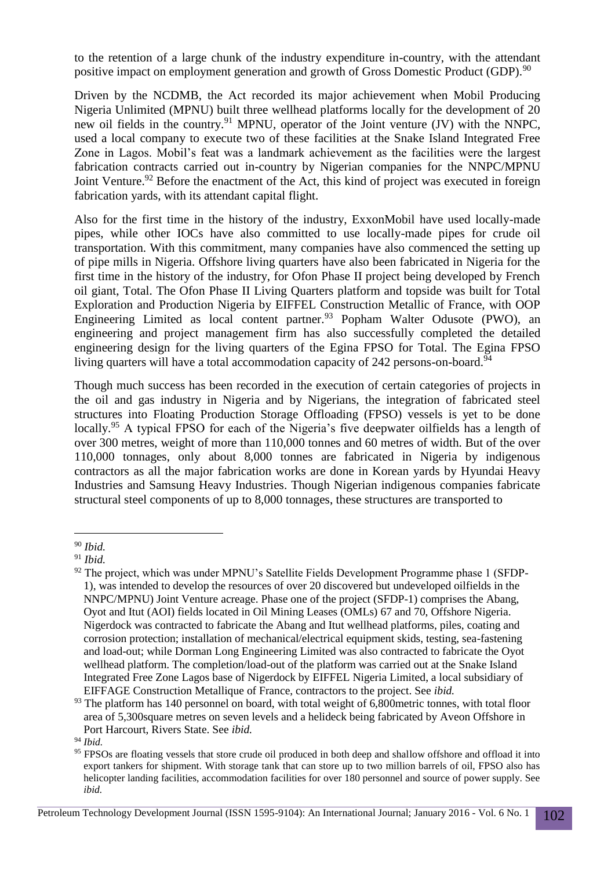to the retention of a large chunk of the industry expenditure in-country, with the attendant positive impact on employment generation and growth of Gross Domestic Product (GDP).<sup>90</sup>

Driven by the NCDMB, the Act recorded its major achievement when Mobil Producing Nigeria Unlimited (MPNU) built three wellhead platforms locally for the development of 20 new oil fields in the country.<sup>91</sup> MPNU, operator of the Joint venture (JV) with the NNPC, used a local company to execute two of these facilities at the Snake Island Integrated Free Zone in Lagos. Mobil's feat was a landmark achievement as the facilities were the largest fabrication contracts carried out in-country by Nigerian companies for the NNPC/MPNU Joint Venture.<sup>92</sup> Before the enactment of the Act, this kind of project was executed in foreign fabrication yards, with its attendant capital flight.

Also for the first time in the history of the industry, ExxonMobil have used locally-made pipes, while other IOCs have also committed to use locally-made pipes for crude oil transportation. With this commitment, many companies have also commenced the setting up of pipe mills in Nigeria. Offshore living quarters have also been fabricated in Nigeria for the first time in the history of the industry, for Ofon Phase II project being developed by French oil giant, Total. The Ofon Phase II Living Quarters platform and topside was built for Total Exploration and Production Nigeria by EIFFEL Construction Metallic of France, with OOP Engineering Limited as local content partner.<sup>93</sup> Popham Walter Odusote (PWO), an engineering and project management firm has also successfully completed the detailed engineering design for the living quarters of the Egina FPSO for Total. The Egina FPSO living quarters will have a total accommodation capacity of 242 persons-on-board.<sup>94</sup>

Though much success has been recorded in the execution of certain categories of projects in the oil and gas industry in Nigeria and by Nigerians, the integration of fabricated steel structures into Floating Production Storage Offloading (FPSO) vessels is yet to be done locally.<sup>95</sup> A typical FPSO for each of the Nigeria's five deepwater oilfields has a length of over 300 metres, weight of more than 110,000 tonnes and 60 metres of width. But of the over 110,000 tonnages, only about 8,000 tonnes are fabricated in Nigeria by indigenous contractors as all the major fabrication works are done in Korean yards by Hyundai Heavy Industries and Samsung Heavy Industries. Though Nigerian indigenous companies fabricate structural steel components of up to 8,000 tonnages, these structures are transported to

 $\overline{a}$ <sup>90</sup> *Ibid.*

<sup>91</sup> *Ibid.*

 $92$  The project, which was under MPNU's Satellite Fields Development Programme phase 1 (SFDP-1), was intended to develop the resources of over 20 discovered but undeveloped oilfields in the NNPC/MPNU) Joint Venture acreage. Phase one of the project (SFDP-1) comprises the Abang, Oyot and Itut (AOI) fields located in Oil Mining Leases (OMLs) 67 and 70, Offshore Nigeria. Nigerdock was contracted to fabricate the Abang and Itut wellhead platforms, piles, coating and corrosion protection; installation of mechanical/electrical equipment skids, testing, sea-fastening and load-out; while Dorman Long Engineering Limited was also contracted to fabricate the Oyot wellhead platform. The completion/load-out of the platform was carried out at the Snake Island Integrated Free Zone Lagos base of Nigerdock by EIFFEL Nigeria Limited, a local subsidiary of EIFFAGE Construction Metallique of France, contractors to the project. See *ibid.*

<sup>&</sup>lt;sup>93</sup> The platform has 140 personnel on board, with total weight of 6,800 metric tonnes, with total floor area of 5,300square metres on seven levels and a helideck being fabricated by Aveon Offshore in Port Harcourt, Rivers State. See *ibid.*

<sup>94</sup> *Ibid.*

<sup>&</sup>lt;sup>95</sup> FPSOs are floating vessels that store crude oil produced in both deep and shallow offshore and offload it into export tankers for shipment. With storage tank that can store up to two million barrels of oil, FPSO also has helicopter landing facilities, accommodation facilities for over 180 personnel and source of power supply. See *ibid.*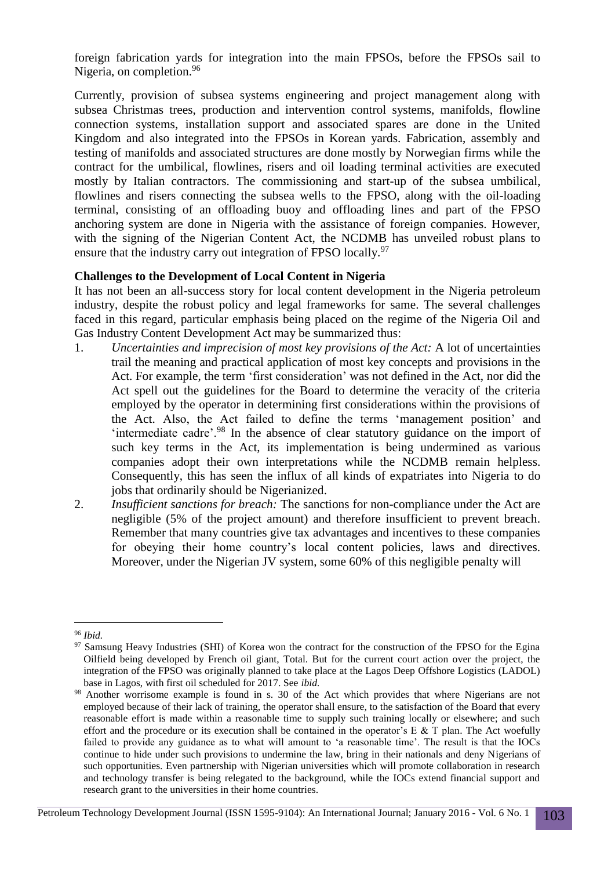foreign fabrication yards for integration into the main FPSOs, before the FPSOs sail to Nigeria, on completion.<sup>96</sup>

Currently, provision of subsea systems engineering and project management along with subsea Christmas trees, production and intervention control systems, manifolds, flowline connection systems, installation support and associated spares are done in the United Kingdom and also integrated into the FPSOs in Korean yards. Fabrication, assembly and testing of manifolds and associated structures are done mostly by Norwegian firms while the contract for the umbilical, flowlines, risers and oil loading terminal activities are executed mostly by Italian contractors. The commissioning and start-up of the subsea umbilical, flowlines and risers connecting the subsea wells to the FPSO, along with the oil-loading terminal, consisting of an offloading buoy and offloading lines and part of the FPSO anchoring system are done in Nigeria with the assistance of foreign companies. However, with the signing of the Nigerian Content Act, the NCDMB has unveiled robust plans to ensure that the industry carry out integration of FPSO locally.<sup>97</sup>

#### **Challenges to the Development of Local Content in Nigeria**

It has not been an all-success story for local content development in the Nigeria petroleum industry, despite the robust policy and legal frameworks for same. The several challenges faced in this regard, particular emphasis being placed on the regime of the Nigeria Oil and Gas Industry Content Development Act may be summarized thus:

- 1. *Uncertainties and imprecision of most key provisions of the Act:* A lot of uncertainties trail the meaning and practical application of most key concepts and provisions in the Act. For example, the term 'first consideration' was not defined in the Act, nor did the Act spell out the guidelines for the Board to determine the veracity of the criteria employed by the operator in determining first considerations within the provisions of the Act. Also, the Act failed to define the terms 'management position' and 'intermediate cadre'.<sup>98</sup> In the absence of clear statutory guidance on the import of such key terms in the Act, its implementation is being undermined as various companies adopt their own interpretations while the NCDMB remain helpless. Consequently, this has seen the influx of all kinds of expatriates into Nigeria to do jobs that ordinarily should be Nigerianized.
- 2. *Insufficient sanctions for breach:* The sanctions for non-compliance under the Act are negligible (5% of the project amount) and therefore insufficient to prevent breach. Remember that many countries give tax advantages and incentives to these companies for obeying their home country's local content policies, laws and directives. Moreover, under the Nigerian JV system, some 60% of this negligible penalty will

 $\overline{a}$ <sup>96</sup> *Ibid.*

<sup>&</sup>lt;sup>97</sup> Samsung Heavy Industries (SHI) of Korea won the contract for the construction of the FPSO for the Egina Oilfield being developed by French oil giant, Total. But for the current court action over the project, the integration of the FPSO was originally planned to take place at the Lagos Deep Offshore Logistics (LADOL) base in Lagos, with first oil scheduled for 2017. See *ibid.*

<sup>98</sup> Another worrisome example is found in s. 30 of the Act which provides that where Nigerians are not employed because of their lack of training, the operator shall ensure, to the satisfaction of the Board that every reasonable effort is made within a reasonable time to supply such training locally or elsewhere; and such effort and the procedure or its execution shall be contained in the operator's  $E \& T$  plan. The Act woefully failed to provide any guidance as to what will amount to 'a reasonable time'. The result is that the IOCs continue to hide under such provisions to undermine the law, bring in their nationals and deny Nigerians of such opportunities. Even partnership with Nigerian universities which will promote collaboration in research and technology transfer is being relegated to the background, while the IOCs extend financial support and research grant to the universities in their home countries.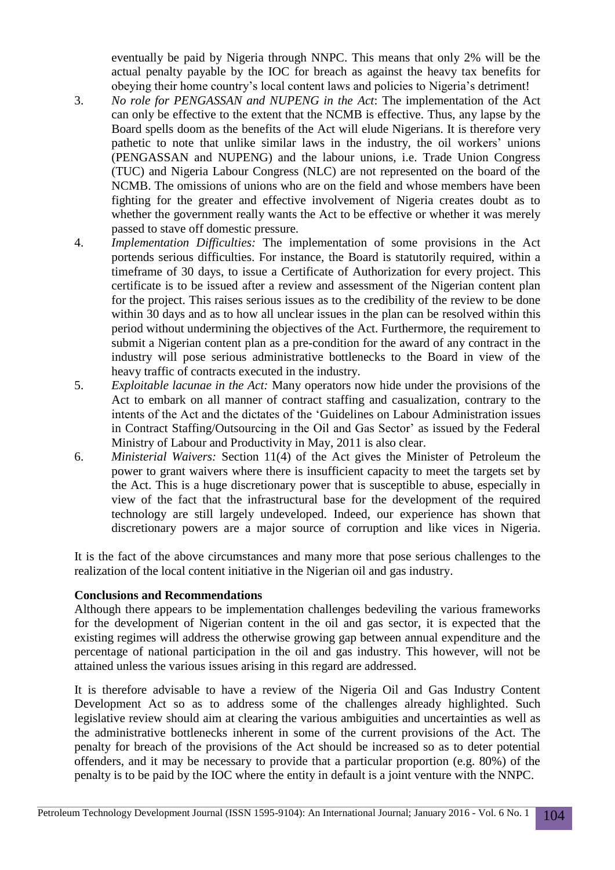eventually be paid by Nigeria through NNPC. This means that only 2% will be the actual penalty payable by the IOC for breach as against the heavy tax benefits for obeying their home country's local content laws and policies to Nigeria's detriment!

- 3. *No role for PENGASSAN and NUPENG in the Act*: The implementation of the Act can only be effective to the extent that the NCMB is effective. Thus, any lapse by the Board spells doom as the benefits of the Act will elude Nigerians. It is therefore very pathetic to note that unlike similar laws in the industry, the oil workers' unions (PENGASSAN and NUPENG) and the labour unions, i.e. Trade Union Congress (TUC) and Nigeria Labour Congress (NLC) are not represented on the board of the NCMB. The omissions of unions who are on the field and whose members have been fighting for the greater and effective involvement of Nigeria creates doubt as to whether the government really wants the Act to be effective or whether it was merely passed to stave off domestic pressure.
- 4. *Implementation Difficulties:* The implementation of some provisions in the Act portends serious difficulties. For instance, the Board is statutorily required, within a timeframe of 30 days, to issue a Certificate of Authorization for every project. This certificate is to be issued after a review and assessment of the Nigerian content plan for the project. This raises serious issues as to the credibility of the review to be done within 30 days and as to how all unclear issues in the plan can be resolved within this period without undermining the objectives of the Act. Furthermore, the requirement to submit a Nigerian content plan as a pre-condition for the award of any contract in the industry will pose serious administrative bottlenecks to the Board in view of the heavy traffic of contracts executed in the industry.
- 5. *Exploitable lacunae in the Act:* Many operators now hide under the provisions of the Act to embark on all manner of contract staffing and casualization, contrary to the intents of the Act and the dictates of the 'Guidelines on Labour Administration issues in Contract Staffing/Outsourcing in the Oil and Gas Sector' as issued by the Federal Ministry of Labour and Productivity in May, 2011 is also clear.
- 6. *Ministerial Waivers:* Section 11(4) of the Act gives the Minister of Petroleum the power to grant waivers where there is insufficient capacity to meet the targets set by the Act. This is a huge discretionary power that is susceptible to abuse, especially in view of the fact that the infrastructural base for the development of the required technology are still largely undeveloped. Indeed, our experience has shown that discretionary powers are a major source of corruption and like vices in Nigeria.

It is the fact of the above circumstances and many more that pose serious challenges to the realization of the local content initiative in the Nigerian oil and gas industry.

### **Conclusions and Recommendations**

Although there appears to be implementation challenges bedeviling the various frameworks for the development of Nigerian content in the oil and gas sector, it is expected that the existing regimes will address the otherwise growing gap between annual expenditure and the percentage of national participation in the oil and gas industry. This however, will not be attained unless the various issues arising in this regard are addressed.

It is therefore advisable to have a review of the Nigeria Oil and Gas Industry Content Development Act so as to address some of the challenges already highlighted. Such legislative review should aim at clearing the various ambiguities and uncertainties as well as the administrative bottlenecks inherent in some of the current provisions of the Act. The penalty for breach of the provisions of the Act should be increased so as to deter potential offenders, and it may be necessary to provide that a particular proportion (e.g. 80%) of the penalty is to be paid by the IOC where the entity in default is a joint venture with the NNPC.